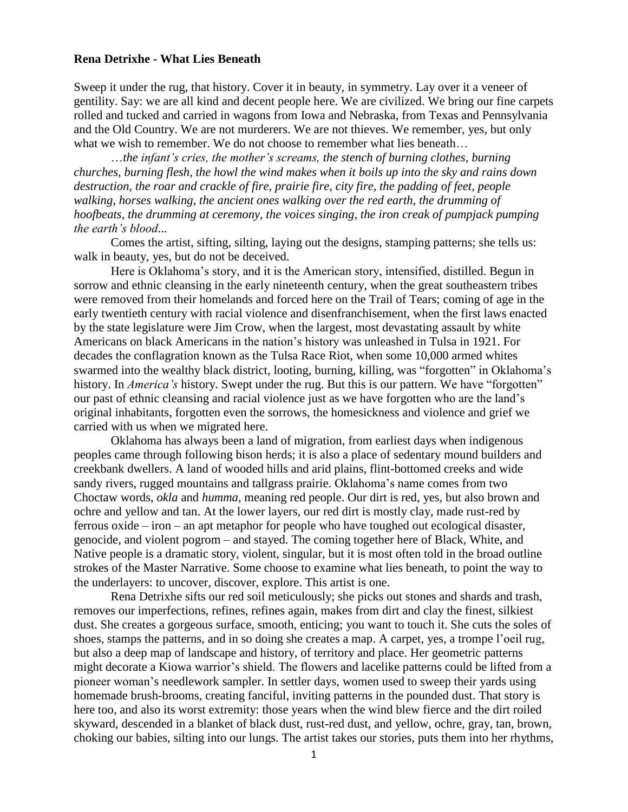## **Rena Detrixhe - What Lies Beneath**

Sweep it under the rug, that history. Cover it in beauty, in symmetry. Lay over it a veneer of gentility. Say: we are all kind and decent people here. We are civilized. We bring our fine carpets rolled and tucked and carried in wagons from Iowa and Nebraska, from Texas and Pennsylvania and the Old Country. We are not murderers. We are not thieves. We remember, yes, but only what we wish to remember. We do not choose to remember what lies beneath...

…*the infant's cries, the mother's screams, the stench of burning clothes, burning churches, burning flesh, the howl the wind makes when it boils up into the sky and rains down destruction, the roar and crackle of fire, prairie fire, city fire, the padding of feet, people walking, horses walking, the ancient ones walking over the red earth, the drumming of hoofbeats, the drumming at ceremony, the voices singing, the iron creak of pumpjack pumping the earth's blood*...

Comes the artist, sifting, silting, laying out the designs, stamping patterns; she tells us: walk in beauty, yes, but do not be deceived.

Here is Oklahoma's story, and it is the American story, intensified, distilled. Begun in sorrow and ethnic cleansing in the early nineteenth century, when the great southeastern tribes were removed from their homelands and forced here on the Trail of Tears; coming of age in the early twentieth century with racial violence and disenfranchisement, when the first laws enacted by the state legislature were Jim Crow, when the largest, most devastating assault by white Americans on black Americans in the nation's history was unleashed in Tulsa in 1921. For decades the conflagration known as the Tulsa Race Riot, when some 10,000 armed whites swarmed into the wealthy black district, looting, burning, killing, was "forgotten" in Oklahoma's history. In *America's* history. Swept under the rug. But this is our pattern. We have "forgotten" our past of ethnic cleansing and racial violence just as we have forgotten who are the land's original inhabitants, forgotten even the sorrows, the homesickness and violence and grief we carried with us when we migrated here.

Oklahoma has always been a land of migration, from earliest days when indigenous peoples came through following bison herds; it is also a place of sedentary mound builders and creekbank dwellers. A land of wooded hills and arid plains, flint-bottomed creeks and wide sandy rivers, rugged mountains and tallgrass prairie. Oklahoma's name comes from two Choctaw words, *okla* and *humma*, meaning red people. Our dirt is red, yes, but also brown and ochre and yellow and tan. At the lower layers, our red dirt is mostly clay, made rust-red by ferrous oxide – iron – an apt metaphor for people who have toughed out ecological disaster, genocide, and violent pogrom – and stayed. The coming together here of Black, White, and Native people is a dramatic story, violent, singular, but it is most often told in the broad outline strokes of the Master Narrative. Some choose to examine what lies beneath, to point the way to the underlayers: to uncover, discover, explore. This artist is one.

Rena Detrixhe sifts our red soil meticulously; she picks out stones and shards and trash, removes our imperfections, refines, refines again, makes from dirt and clay the finest, silkiest dust. She creates a gorgeous surface, smooth, enticing; you want to touch it. She cuts the soles of shoes, stamps the patterns, and in so doing she creates a map. A carpet, yes, a trompe l'oeil rug, but also a deep map of landscape and history, of territory and place. Her geometric patterns might decorate a Kiowa warrior's shield. The flowers and lacelike patterns could be lifted from a pioneer woman's needlework sampler. In settler days, women used to sweep their yards using homemade brush-brooms, creating fanciful, inviting patterns in the pounded dust. That story is here too, and also its worst extremity: those years when the wind blew fierce and the dirt roiled skyward, descended in a blanket of black dust, rust-red dust, and yellow, ochre, gray, tan, brown, choking our babies, silting into our lungs. The artist takes our stories, puts them into her rhythms,